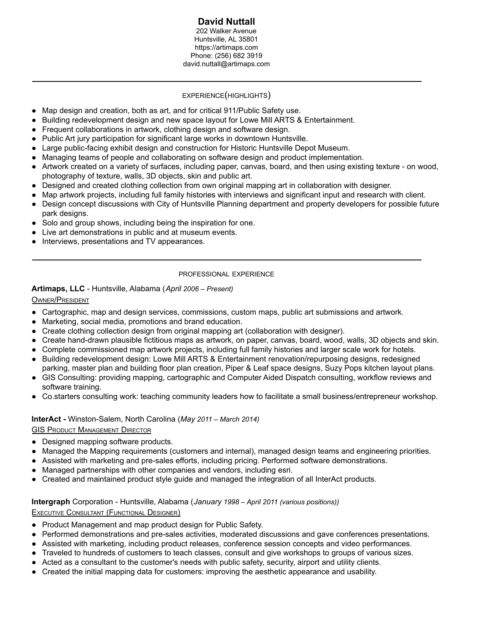#### **David Nuttall** 202 Walker Avenue Huntsville, AL 35801 https://artimaps.com Phone: (256) 682 3919 david.nuttall@artimaps.com

# EXPERIENCE(HIGHLIGHTS)

- Map design and creation, both as art, and for critical 911/Public Safety use.
- Building redevelopment design and new space layout for Lowe Mill ARTS & Entertainment.
- Frequent collaborations in artwork, clothing design and software design.
- Public Art jury participation for significant large works in downtown Huntsville.
- Large public-facing exhibit design and construction for Historic Huntsville Depot Museum.
- Managing teams of people and collaborating on software design and product implementation.
- Artwork created on a variety of surfaces, including paper, canvas, board, and then using existing texture on wood, photography of texture, walls, 3D objects, skin and public art.
- Designed and created clothing collection from own original mapping art in collaboration with designer.
- Map artwork projects, including full family histories with interviews and significant input and research with client.
- Design concept discussions with City of Huntsville Planning department and property developers for possible future park designs.
- Solo and group shows, including being the inspiration for one.
- Live art demonstrations in public and at museum events.
- Interviews, presentations and TV appearances.

## PROFESSIONAL EXPERIENCE

## **Artimaps, LLC** - Huntsville, Alabama (*April 2006 – Present)*

## OWNER/PRESIDENT

- Cartographic, map and design services, commissions, custom maps, public art submissions and artwork.
- Marketing, social media, promotions and brand education.
- Create clothing collection design from original mapping art (collaboration with designer).
- Create hand-drawn plausible fictitious maps as artwork, on paper, canvas, board, wood, walls, 3D objects and skin.
- Complete commissioned map artwork projects, including full family histories and larger scale work for hotels.
- Building redevelopment design: Lowe Mill ARTS & Entertainment renovation/repurposing designs, redesigned parking, master plan and building floor plan creation, Piper & Leaf space designs, Suzy Pops kitchen layout plans.
- GIS Consulting: providing mapping, cartographic and Computer Aided Dispatch consulting, workflow reviews and software training.
- Co.starters consulting work: teaching community leaders how to facilitate a small business/entrepreneur workshop.

## **InterAct -** Winston-Salem, North Carolina (*May 2011 – March 2014)*

## **GIS PRODUCT MANAGEMENT DIRECTOR**

- Designed mapping software products.
- Managed the Mapping requirements (customers and internal), managed design teams and engineering priorities.
- Assisted with marketing and pre-sales efforts, including pricing. Performed software demonstrations.
- Managed partnerships with other companies and vendors, including esri.
- Created and maintained product style guide and managed the integration of all InterAct products.

# **Intergraph** Corporation - Huntsville, Alabama (*January 1998 – April 2011 (various positions))*

## **EXECUTIVE CONSULTANT (FUNCTIONAL DESIGNER)**

- Product Management and map product design for Public Safety.
- Performed demonstrations and pre-sales activities, moderated discussions and gave conferences presentations.
- Assisted with marketing, including product releases, conference session concepts and video performances.
- Traveled to hundreds of customers to teach classes, consult and give workshops to groups of various sizes.
- Acted as a consultant to the customer's needs with public safety, security, airport and utility clients.
- Created the initial mapping data for customers: improving the aesthetic appearance and usability.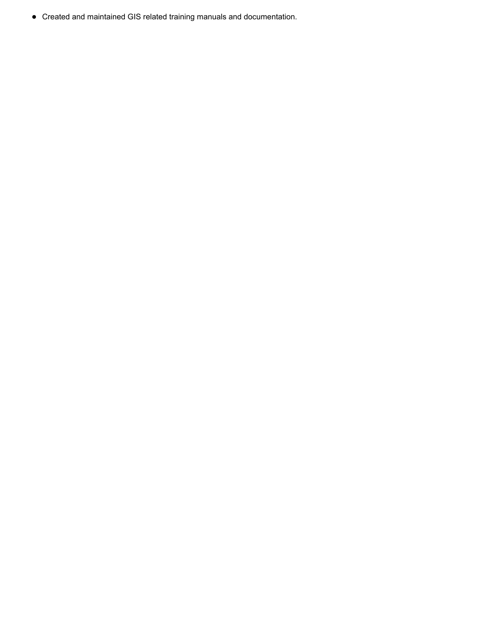• Created and maintained GIS related training manuals and documentation.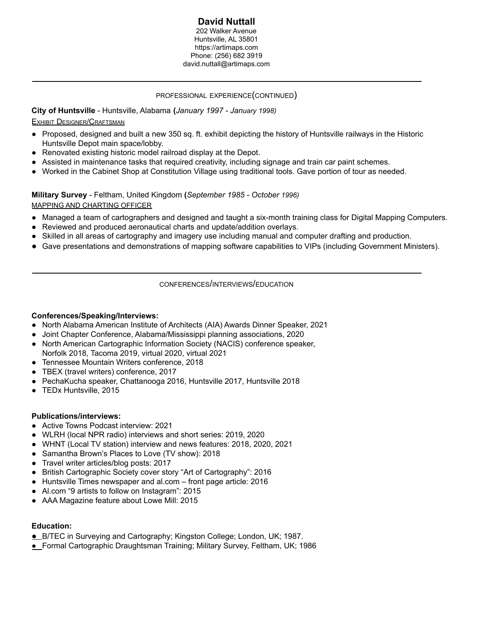#### **David Nuttall** 202 Walker Avenue Huntsville, AL 35801 https://artimaps.com Phone: (256) 682 3919 david.nuttall@artimaps.com

## PROFESSIONAL EXPERIENCE(CONTINUED)

**City of Huntsville** - Huntsville, Alabama **(***January 1997 - January 1998)*

## EXHIBIT DESIGNER/CRAFTSMAN

- Proposed, designed and built a new 350 sq. ft. exhibit depicting the history of Huntsville railways in the Historic Huntsville Depot main space/lobby.
- Renovated existing historic model railroad display at the Depot.
- Assisted in maintenance tasks that required creativity, including signage and train car paint schemes.
- Worked in the Cabinet Shop at Constitution Village using traditional tools. Gave portion of tour as needed.

**Military Survey** - Feltham, United Kingdom **(***September 1985 - October 1996)* MAPPING AND CHARTING OFFICER

- Managed a team of cartographers and designed and taught a six-month training class for Digital Mapping Computers.
- Reviewed and produced aeronautical charts and update/addition overlays.
- Skilled in all areas of cartography and imagery use including manual and computer drafting and production.
- Gave presentations and demonstrations of mapping software capabilities to VIPs (including Government Ministers).

CONFERENCES/INTERVIEWS/EDUCATION

## **Conferences/Speaking/Interviews:**

- North Alabama American Institute of Architects (AIA) Awards Dinner Speaker, 2021
- Joint Chapter Conference, Alabama/Mississippi planning associations, 2020
- North American Cartographic Information Society (NACIS) conference speaker, Norfolk 2018, Tacoma 2019, virtual 2020, virtual 2021
- Tennessee Mountain Writers conference, 2018
- TBEX (travel writers) conference, 2017
- PechaKucha speaker, Chattanooga 2016, Huntsville 2017, Huntsville 2018
- TEDx Huntsville, 2015

## **Publications/interviews:**

- Active Towns Podcast interview: 2021
- WLRH (local NPR radio) interviews and short series: 2019, 2020
- WHNT (Local TV station) interview and news features: 2018, 2020, 2021
- Samantha Brown's Places to Love (TV show): 2018
- Travel writer articles/blog posts: 2017
- British Cartographic Society cover story "Art of Cartography": 2016
- Huntsville Times newspaper and al.com front page article: 2016
- Al.com "9 artists to follow on Instagram": 2015
- AAA Magazine feature about Lowe Mill: 2015

## **Education:**

- B/TEC in Surveying and Cartography; Kingston College; London, UK; 1987.
- Formal Cartographic Draughtsman Training; Military Survey, Feltham, UK; 1986